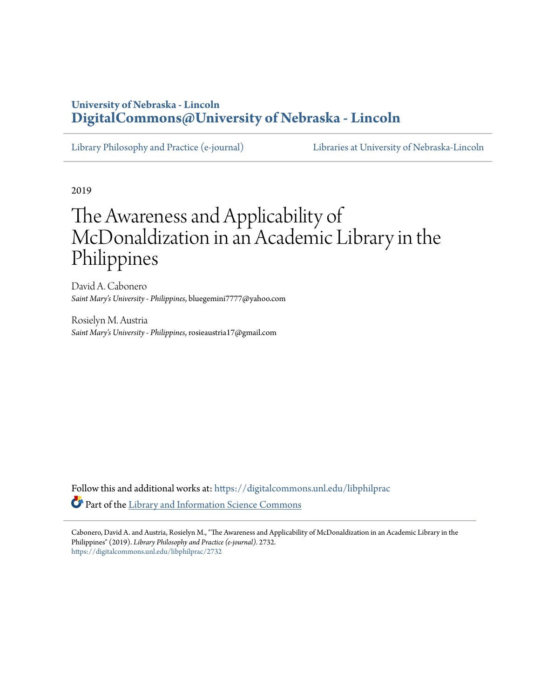## **University of Nebraska - Lincoln [DigitalCommons@University of Nebraska - Lincoln](https://digitalcommons.unl.edu/?utm_source=digitalcommons.unl.edu%2Flibphilprac%2F2732&utm_medium=PDF&utm_campaign=PDFCoverPages)**

[Library Philosophy and Practice \(e-journal\)](https://digitalcommons.unl.edu/libphilprac?utm_source=digitalcommons.unl.edu%2Flibphilprac%2F2732&utm_medium=PDF&utm_campaign=PDFCoverPages) [Libraries at University of Nebraska-Lincoln](https://digitalcommons.unl.edu/libraries?utm_source=digitalcommons.unl.edu%2Flibphilprac%2F2732&utm_medium=PDF&utm_campaign=PDFCoverPages)

2019

# The Awareness and Applicability of McDonaldization in an Academic Library in the Philippines

David A. Cabonero *Saint Mary's University - Philippines*, bluegemini7777@yahoo.com

Rosielyn M. Austria *Saint Mary's University - Philippines*, rosieaustria17@gmail.com

Follow this and additional works at: [https://digitalcommons.unl.edu/libphilprac](https://digitalcommons.unl.edu/libphilprac?utm_source=digitalcommons.unl.edu%2Flibphilprac%2F2732&utm_medium=PDF&utm_campaign=PDFCoverPages) Part of the [Library and Information Science Commons](http://network.bepress.com/hgg/discipline/1018?utm_source=digitalcommons.unl.edu%2Flibphilprac%2F2732&utm_medium=PDF&utm_campaign=PDFCoverPages)

Cabonero, David A. and Austria, Rosielyn M., "The Awareness and Applicability of McDonaldization in an Academic Library in the Philippines" (2019). *Library Philosophy and Practice (e-journal)*. 2732. [https://digitalcommons.unl.edu/libphilprac/2732](https://digitalcommons.unl.edu/libphilprac/2732?utm_source=digitalcommons.unl.edu%2Flibphilprac%2F2732&utm_medium=PDF&utm_campaign=PDFCoverPages)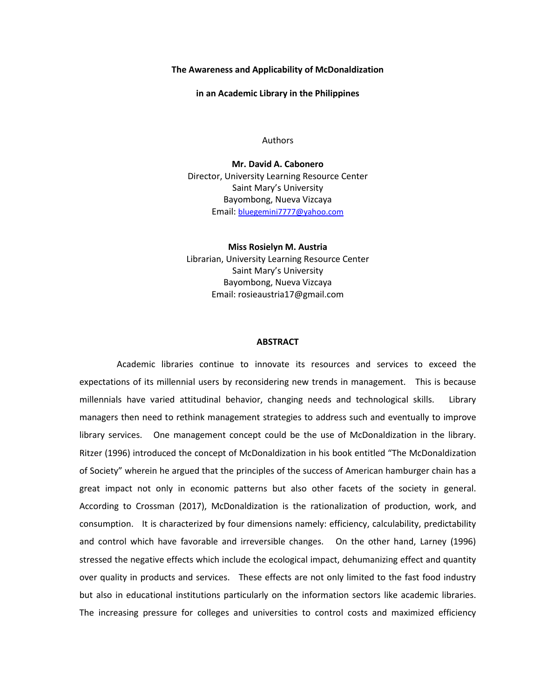#### **The Awareness and Applicability of McDonaldization**

**in an Academic Library in the Philippines**

Authors

**Mr. David A. Cabonero** Director, University Learning Resource Center Saint Mary's University Bayombong, Nueva Vizcaya Email: [bluegemini7777@yahoo.com](mailto:bluegemini7777@yahoo.com)

**Miss Rosielyn M. Austria** Librarian, University Learning Resource Center Saint Mary's University Bayombong, Nueva Vizcaya Email: rosieaustria17@gmail.com

#### **ABSTRACT**

Academic libraries continue to innovate its resources and services to exceed the expectations of its millennial users by reconsidering new trends in management. This is because millennials have varied attitudinal behavior, changing needs and technological skills. Library managers then need to rethink management strategies to address such and eventually to improve library services. One management concept could be the use of McDonaldization in the library. Ritzer (1996) introduced the concept of McDonaldization in his book entitled "The McDonaldization of Society" wherein he argued that the principles of the success of American hamburger chain has a great impact not only in economic patterns but also other facets of the society in general. According to Crossman (2017), McDonaldization is the rationalization of production, work, and consumption. It is characterized by four dimensions namely: efficiency, calculability, predictability and control which have favorable and irreversible changes. On the other hand, Larney (1996) stressed the negative effects which include the ecological impact, dehumanizing effect and quantity over quality in products and services. These effects are not only limited to the fast food industry but also in educational institutions particularly on the information sectors like academic libraries. The increasing pressure for colleges and universities to control costs and maximized efficiency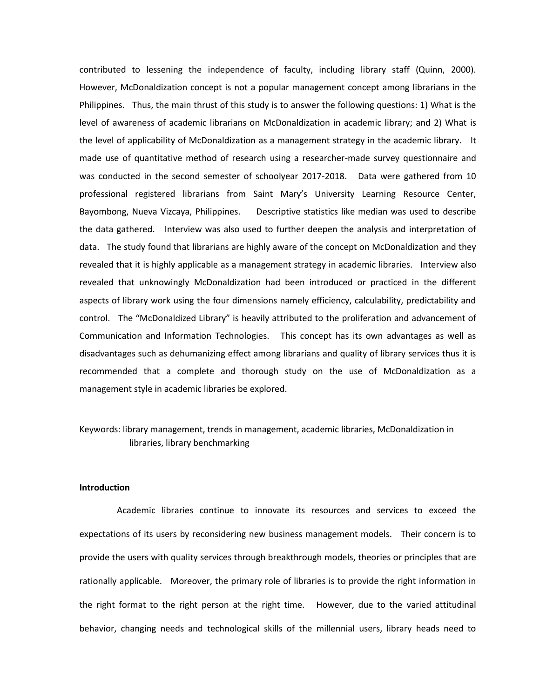contributed to lessening the independence of faculty, including library staff (Quinn, 2000). However, McDonaldization concept is not a popular management concept among librarians in the Philippines. Thus, the main thrust of this study is to answer the following questions: 1) What is the level of awareness of academic librarians on McDonaldization in academic library; and 2) What is the level of applicability of McDonaldization as a management strategy in the academic library. It made use of quantitative method of research using a researcher-made survey questionnaire and was conducted in the second semester of schoolyear 2017-2018. Data were gathered from 10 professional registered librarians from Saint Mary's University Learning Resource Center, Bayombong, Nueva Vizcaya, Philippines. Descriptive statistics like median was used to describe the data gathered. Interview was also used to further deepen the analysis and interpretation of data. The study found that librarians are highly aware of the concept on McDonaldization and they revealed that it is highly applicable as a management strategy in academic libraries. Interview also revealed that unknowingly McDonaldization had been introduced or practiced in the different aspects of library work using the four dimensions namely efficiency, calculability, predictability and control. The "McDonaldized Library" is heavily attributed to the proliferation and advancement of Communication and Information Technologies. This concept has its own advantages as well as disadvantages such as dehumanizing effect among librarians and quality of library services thus it is recommended that a complete and thorough study on the use of McDonaldization as a management style in academic libraries be explored.

### Keywords: library management, trends in management, academic libraries, McDonaldization in libraries, library benchmarking

#### **Introduction**

Academic libraries continue to innovate its resources and services to exceed the expectations of its users by reconsidering new business management models. Their concern is to provide the users with quality services through breakthrough models, theories or principles that are rationally applicable. Moreover, the primary role of libraries is to provide the right information in the right format to the right person at the right time. However, due to the varied attitudinal behavior, changing needs and technological skills of the millennial users, library heads need to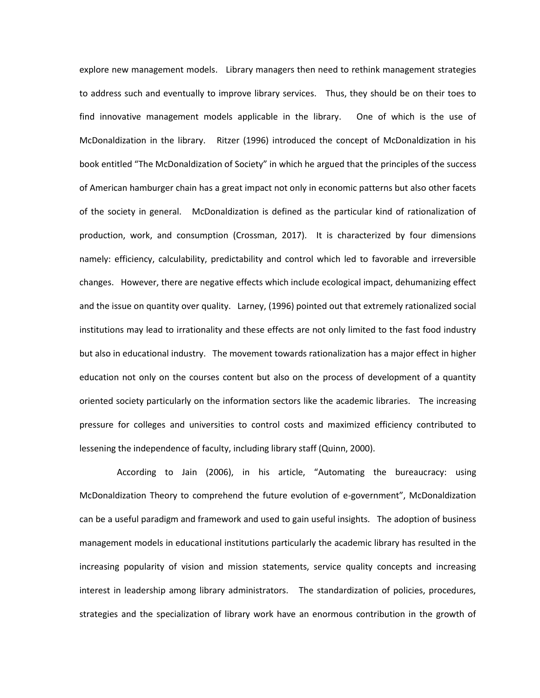explore new management models. Library managers then need to rethink management strategies to address such and eventually to improve library services. Thus, they should be on their toes to find innovative management models applicable in the library. One of which is the use of McDonaldization in the library. Ritzer (1996) introduced the concept of McDonaldization in his book entitled "The McDonaldization of Society" in which he argued that the principles of the success of American hamburger chain has a great impact not only in economic patterns but also other facets of the society in general. McDonaldization is defined as the particular kind of rationalization of production, work, and consumption (Crossman, 2017). It is characterized by four dimensions namely: efficiency, calculability, predictability and control which led to favorable and irreversible changes. However, there are negative effects which include ecological impact, dehumanizing effect and the issue on quantity over quality. Larney, (1996) pointed out that extremely rationalized social institutions may lead to irrationality and these effects are not only limited to the fast food industry but also in educational industry. The movement towards rationalization has a major effect in higher education not only on the courses content but also on the process of development of a quantity oriented society particularly on the information sectors like the academic libraries. The increasing pressure for colleges and universities to control costs and maximized efficiency contributed to lessening the independence of faculty, including library staff (Quinn, 2000).

According to Jain (2006), in his article, "Automating the bureaucracy: using McDonaldization Theory to comprehend the future evolution of e-government", McDonaldization can be a useful paradigm and framework and used to gain useful insights. The adoption of business management models in educational institutions particularly the academic library has resulted in the increasing popularity of vision and mission statements, service quality concepts and increasing interest in leadership among library administrators. The standardization of policies, procedures, strategies and the specialization of library work have an enormous contribution in the growth of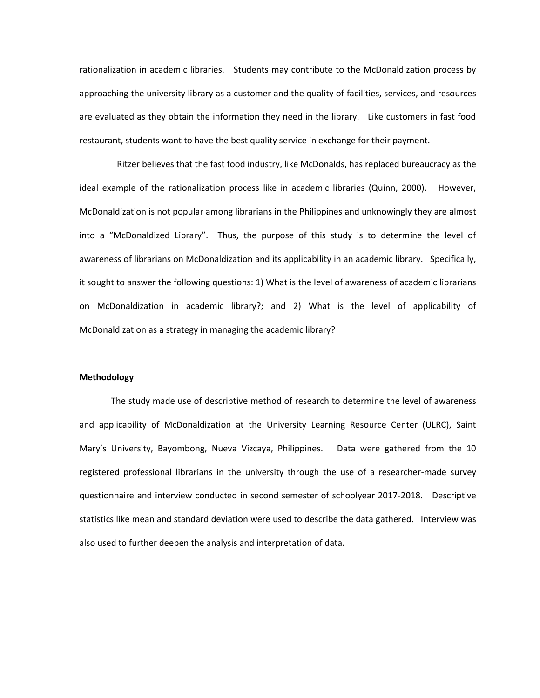rationalization in academic libraries. Students may contribute to the McDonaldization process by approaching the university library as a customer and the quality of facilities, services, and resources are evaluated as they obtain the information they need in the library. Like customers in fast food restaurant, students want to have the best quality service in exchange for their payment.

Ritzer believes that the fast food industry, like McDonalds, has replaced bureaucracy as the ideal example of the rationalization process like in academic libraries (Quinn, 2000). However, McDonaldization is not popular among librarians in the Philippines and unknowingly they are almost into a "McDonaldized Library". Thus, the purpose of this study is to determine the level of awareness of librarians on McDonaldization and its applicability in an academic library. Specifically, it sought to answer the following questions: 1) What is the level of awareness of academic librarians on McDonaldization in academic library?; and 2) What is the level of applicability of McDonaldization as a strategy in managing the academic library?

#### **Methodology**

The study made use of descriptive method of research to determine the level of awareness and applicability of McDonaldization at the University Learning Resource Center (ULRC), Saint Mary's University, Bayombong, Nueva Vizcaya, Philippines. Data were gathered from the 10 registered professional librarians in the university through the use of a researcher-made survey questionnaire and interview conducted in second semester of schoolyear 2017-2018. Descriptive statistics like mean and standard deviation were used to describe the data gathered. Interview was also used to further deepen the analysis and interpretation of data.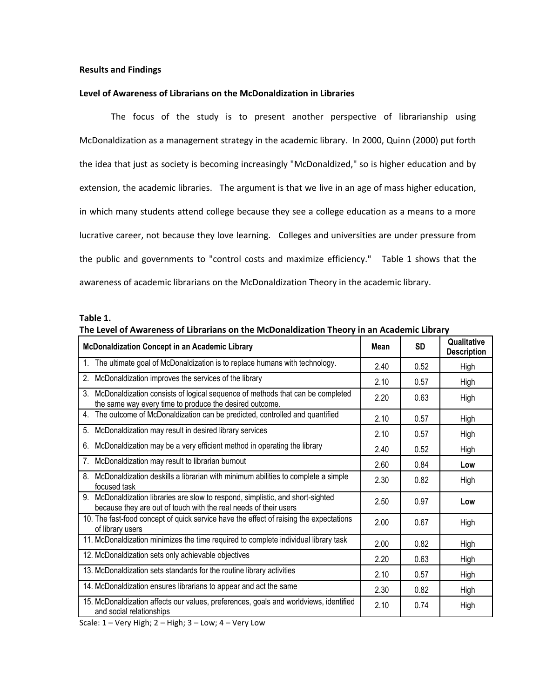#### **Results and Findings**

#### **Level of Awareness of Librarians on the McDonaldization in Libraries**

The focus of the study is to present another perspective of librarianship using McDonaldization as a management strategy in the academic library. In 2000, Quinn (2000) put forth the idea that just as society is becoming increasingly "McDonaldized," so is higher education and by extension, the academic libraries. The argument is that we live in an age of mass higher education, in which many students attend college because they see a college education as a means to a more lucrative career, not because they love learning. Colleges and universities are under pressure from the public and governments to "control costs and maximize efficiency." Table 1 shows that the awareness of academic librarians on the McDonaldization Theory in the academic library.

#### **Table 1.**

| of Awardings of Eistandis on the integratation meety in an Academic Eistan                                                                             |      |           |                                   |
|--------------------------------------------------------------------------------------------------------------------------------------------------------|------|-----------|-----------------------------------|
| <b>McDonaldization Concept in an Academic Library</b>                                                                                                  | Mean | <b>SD</b> | Qualitative<br><b>Description</b> |
| The ultimate goal of McDonaldization is to replace humans with technology.<br>$1_{-}$                                                                  | 2.40 | 0.52      | High                              |
| McDonaldization improves the services of the library<br>2.                                                                                             | 2.10 | 0.57      | High                              |
| 3.<br>McDonaldization consists of logical sequence of methods that can be completed<br>the same way every time to produce the desired outcome.         | 2.20 | 0.63      | High                              |
| The outcome of McDonaldization can be predicted, controlled and quantified<br>4 <sup>1</sup>                                                           | 2.10 | 0.57      | High                              |
| McDonaldization may result in desired library services<br>5.                                                                                           | 2.10 | 0.57      | High                              |
| McDonaldization may be a very efficient method in operating the library<br>6.                                                                          | 2.40 | 0.52      | High                              |
| McDonaldization may result to librarian burnout<br>7.                                                                                                  | 2.60 | 0.84      | Low                               |
| 8.<br>McDonaldization deskills a librarian with minimum abilities to complete a simple<br>focused task                                                 | 2.30 | 0.82      | High                              |
| McDonaldization libraries are slow to respond, simplistic, and short-sighted<br>9.<br>because they are out of touch with the real needs of their users | 2.50 | 0.97      | Low                               |
| 10. The fast-food concept of quick service have the effect of raising the expectations<br>of library users                                             | 2.00 | 0.67      | High                              |
| 11. McDonaldization minimizes the time required to complete individual library task                                                                    | 2.00 | 0.82      | High                              |
| 12. McDonaldization sets only achievable objectives                                                                                                    | 2.20 | 0.63      | High                              |
| 13. McDonaldization sets standards for the routine library activities                                                                                  | 2.10 | 0.57      | High                              |
| 14. McDonaldization ensures librarians to appear and act the same                                                                                      | 2.30 | 0.82      | High                              |
| 15. McDonaldization affects our values, preferences, goals and worldviews, identified<br>and social relationships                                      | 2.10 | 0.74      | High                              |

| The Level of Awareness of Librarians on the McDonaldization Theory in an Academic Library |  |  |
|-------------------------------------------------------------------------------------------|--|--|
|-------------------------------------------------------------------------------------------|--|--|

Scale:  $1 -$  Very High;  $2 -$  High;  $3 -$  Low;  $\overline{4 -$  Very Low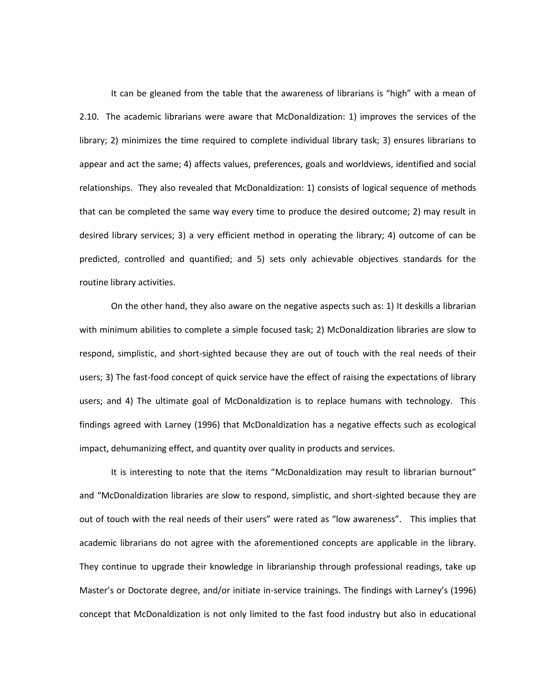It can be gleaned from the table that the awareness of librarians is "high" with a mean of 2.10. The academic librarians were aware that McDonaldization: 1) improves the services of the library; 2) minimizes the time required to complete individual library task; 3) ensures librarians to appear and act the same; 4) affects values, preferences, goals and worldviews, identified and social relationships. They also revealed that McDonaldization: 1) consists of logical sequence of methods that can be completed the same way every time to produce the desired outcome; 2) may result in desired library services; 3) a very efficient method in operating the library; 4) outcome of can be predicted, controlled and quantified; and 5) sets only achievable objectives standards for the routine library activities.

On the other hand, they also aware on the negative aspects such as: 1) It deskills a librarian with minimum abilities to complete a simple focused task; 2) McDonaldization libraries are slow to respond, simplistic, and short-sighted because they are out of touch with the real needs of their users; 3) The fast-food concept of quick service have the effect of raising the expectations of library users; and 4) The ultimate goal of McDonaldization is to replace humans with technology. This findings agreed with Larney (1996) that McDonaldization has a negative effects such as ecological impact, dehumanizing effect, and quantity over quality in products and services.

It is interesting to note that the items "McDonaldization may result to librarian burnout" and "McDonaldization libraries are slow to respond, simplistic, and short-sighted because they are out of touch with the real needs of their users" were rated as "low awareness". This implies that academic librarians do not agree with the aforementioned concepts are applicable in the library. They continue to upgrade their knowledge in librarianship through professional readings, take up Master's or Doctorate degree, and/or initiate in-service trainings. The findings with Larney's (1996) concept that McDonaldization is not only limited to the fast food industry but also in educational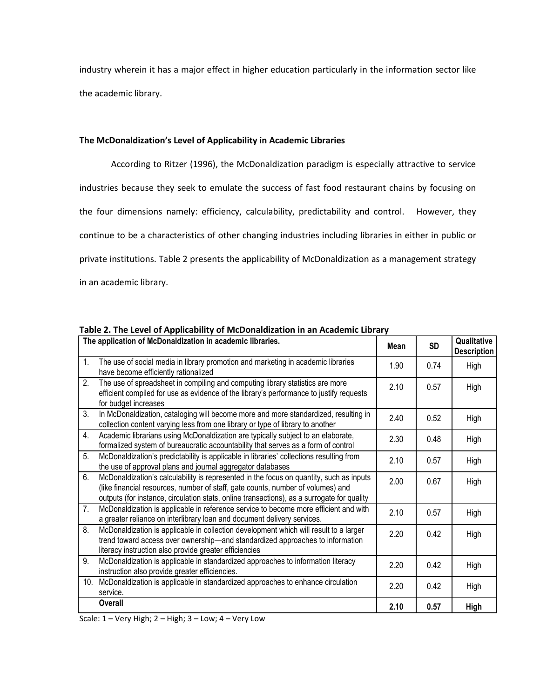industry wherein it has a major effect in higher education particularly in the information sector like the academic library.

#### **The McDonaldization's Level of Applicability in Academic Libraries**

According to Ritzer (1996), the McDonaldization paradigm is especially attractive to service industries because they seek to emulate the success of fast food restaurant chains by focusing on the four dimensions namely: efficiency, calculability, predictability and control. However, they continue to be a characteristics of other changing industries including libraries in either in public or private institutions. Table 2 presents the applicability of McDonaldization as a management strategy in an academic library.

|     | The application of McDonaldization in academic libraries.                                                                                                                                                                                                                | Mean | <b>SD</b> | Qualitative<br><b>Description</b> |
|-----|--------------------------------------------------------------------------------------------------------------------------------------------------------------------------------------------------------------------------------------------------------------------------|------|-----------|-----------------------------------|
| 1.  | The use of social media in library promotion and marketing in academic libraries<br>have become efficiently rationalized                                                                                                                                                 | 1.90 | 0.74      | High                              |
| 2.  | The use of spreadsheet in compiling and computing library statistics are more<br>efficient compiled for use as evidence of the library's performance to justify requests<br>for budget increases                                                                         | 2.10 | 0.57      | High                              |
| 3.  | In McDonaldization, cataloging will become more and more standardized, resulting in<br>collection content varying less from one library or type of library to another                                                                                                    | 2.40 | 0.52      | High                              |
| 4.  | Academic librarians using McDonaldization are typically subject to an elaborate,<br>formalized system of bureaucratic accountability that serves as a form of control                                                                                                    | 2.30 | 0.48      | High                              |
| 5.  | McDonaldization's predictability is applicable in libraries' collections resulting from<br>the use of approval plans and journal aggregator databases                                                                                                                    | 2.10 | 0.57      | High                              |
| 6.  | McDonaldization's calculability is represented in the focus on quantity, such as inputs<br>(like financial resources, number of staff, gate counts, number of volumes) and<br>outputs (for instance, circulation stats, online transactions), as a surrogate for quality | 2.00 | 0.67      | High                              |
| 7.  | McDonaldization is applicable in reference service to become more efficient and with<br>a greater reliance on interlibrary loan and document delivery services.                                                                                                          | 2.10 | 0.57      | High                              |
| 8.  | McDonaldization is applicable in collection development which will result to a larger<br>trend toward access over ownership-and standardized approaches to information<br>literacy instruction also provide greater efficiencies                                         | 2.20 | 0.42      | High                              |
| 9.  | McDonaldization is applicable in standardized approaches to information literacy<br>instruction also provide greater efficiencies.                                                                                                                                       | 2.20 | 0.42      | High                              |
| 10. | McDonaldization is applicable in standardized approaches to enhance circulation<br>service.                                                                                                                                                                              | 2.20 | 0.42      | High                              |
|     | Overall                                                                                                                                                                                                                                                                  | 2.10 | 0.57      | <b>High</b>                       |

**Table 2. The Level of Applicability of McDonaldization in an Academic Library**

Scale:  $1 -$  Very High;  $2 -$  High;  $3 -$  Low;  $4 -$  Very Low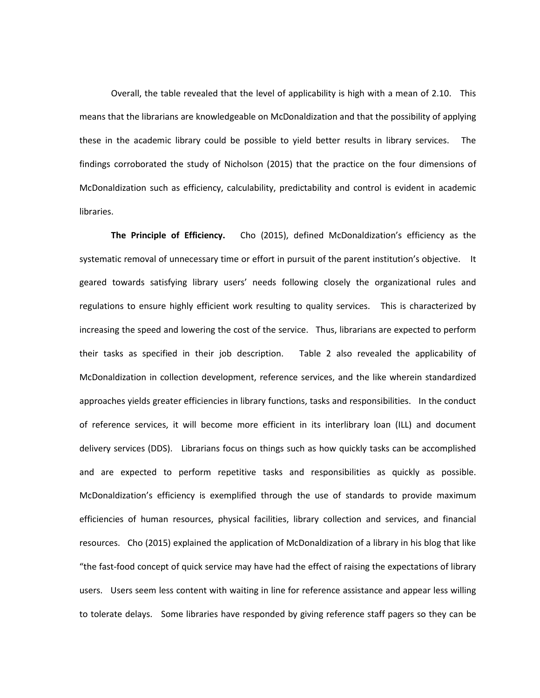Overall, the table revealed that the level of applicability is high with a mean of 2.10. This means that the librarians are knowledgeable on McDonaldization and that the possibility of applying these in the academic library could be possible to yield better results in library services. The findings corroborated the study of Nicholson (2015) that the practice on the four dimensions of McDonaldization such as efficiency, calculability, predictability and control is evident in academic libraries.

**The Principle of Efficiency.** Cho (2015), defined McDonaldization's efficiency as the systematic removal of unnecessary time or effort in pursuit of the parent institution's objective. It geared towards satisfying library users' needs following closely the organizational rules and regulations to ensure highly efficient work resulting to quality services. This is characterized by increasing the speed and lowering the cost of the service. Thus, librarians are expected to perform their tasks as specified in their job description. Table 2 also revealed the applicability of McDonaldization in collection development, reference services, and the like wherein standardized approaches yields greater efficiencies in library functions, tasks and responsibilities. In the conduct of reference services, it will become more efficient in its interlibrary loan (ILL) and document delivery services (DDS). Librarians focus on things such as how quickly tasks can be accomplished and are expected to perform repetitive tasks and responsibilities as quickly as possible. McDonaldization's efficiency is exemplified through the use of standards to provide maximum efficiencies of human resources, physical facilities, library collection and services, and financial resources. Cho (2015) explained the application of McDonaldization of a library in his blog that like "the fast-food concept of quick service may have had the effect of raising the expectations of library users. Users seem less content with waiting in line for reference assistance and appear less willing to tolerate delays. Some libraries have responded by giving reference staff pagers so they can be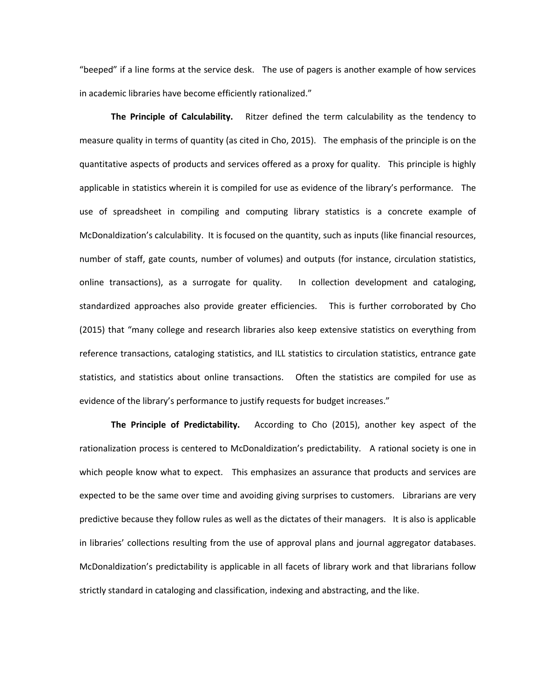"beeped" if a line forms at the service desk. The use of pagers is another example of how services in academic libraries have become efficiently rationalized."

**The Principle of Calculability.** Ritzer defined the term calculability as the tendency to measure quality in terms of quantity (as cited in Cho, 2015). The emphasis of the principle is on the quantitative aspects of products and services offered as a proxy for quality. This principle is highly applicable in statistics wherein it is compiled for use as evidence of the library's performance. The use of spreadsheet in compiling and computing library statistics is a concrete example of McDonaldization's calculability. It is focused on the quantity, such as inputs (like financial resources, number of staff, gate counts, number of volumes) and outputs (for instance, circulation statistics, online transactions), as a surrogate for quality. In collection development and cataloging, standardized approaches also provide greater efficiencies. This is further corroborated by Cho (2015) that "many college and research libraries also keep extensive statistics on everything from reference transactions, cataloging statistics, and ILL statistics to circulation statistics, entrance gate statistics, and statistics about online transactions. Often the statistics are compiled for use as evidence of the library's performance to justify requests for budget increases."

**The Principle of Predictability.** According to Cho (2015), another key aspect of the rationalization process is centered to McDonaldization's predictability. A rational society is one in which people know what to expect. This emphasizes an assurance that products and services are expected to be the same over time and avoiding giving surprises to customers. Librarians are very predictive because they follow rules as well as the dictates of their managers. It is also is applicable in libraries' collections resulting from the use of approval plans and journal aggregator databases. McDonaldization's predictability is applicable in all facets of library work and that librarians follow strictly standard in cataloging and classification, indexing and abstracting, and the like.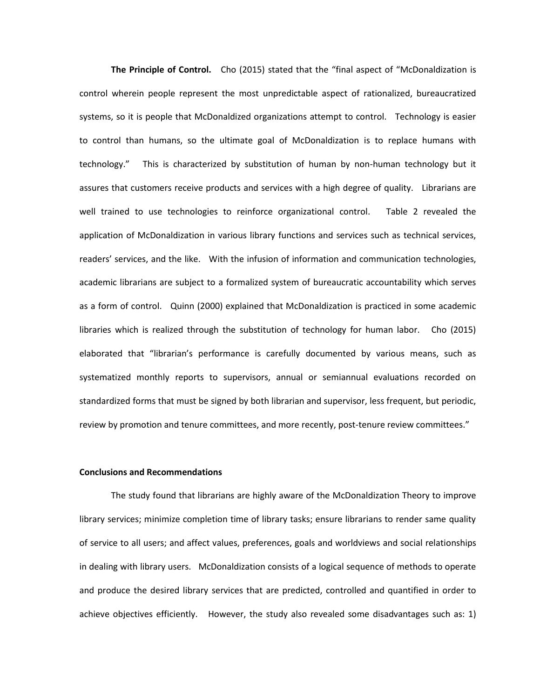**The Principle of Control.** Cho (2015) stated that the "final aspect of "McDonaldization is control wherein people represent the most unpredictable aspect of rationalized, bureaucratized systems, so it is people that McDonaldized organizations attempt to control. Technology is easier to control than humans, so the ultimate goal of McDonaldization is to replace humans with technology." This is characterized by substitution of human by non-human technology but it assures that customers receive products and services with a high degree of quality. Librarians are well trained to use technologies to reinforce organizational control. Table 2 revealed the application of McDonaldization in various library functions and services such as technical services, readers' services, and the like. With the infusion of information and communication technologies, academic librarians are subject to a formalized system of bureaucratic accountability which serves as a form of control. Quinn (2000) explained that McDonaldization is practiced in some academic libraries which is realized through the substitution of technology for human labor. Cho (2015) elaborated that "librarian's performance is carefully documented by various means, such as systematized monthly reports to supervisors, annual or semiannual evaluations recorded on standardized forms that must be signed by both librarian and supervisor, less frequent, but periodic, review by promotion and tenure committees, and more recently, post-tenure review committees."

#### **Conclusions and Recommendations**

The study found that librarians are highly aware of the McDonaldization Theory to improve library services; minimize completion time of library tasks; ensure librarians to render same quality of service to all users; and affect values, preferences, goals and worldviews and social relationships in dealing with library users. McDonaldization consists of a logical sequence of methods to operate and produce the desired library services that are predicted, controlled and quantified in order to achieve objectives efficiently. However, the study also revealed some disadvantages such as: 1)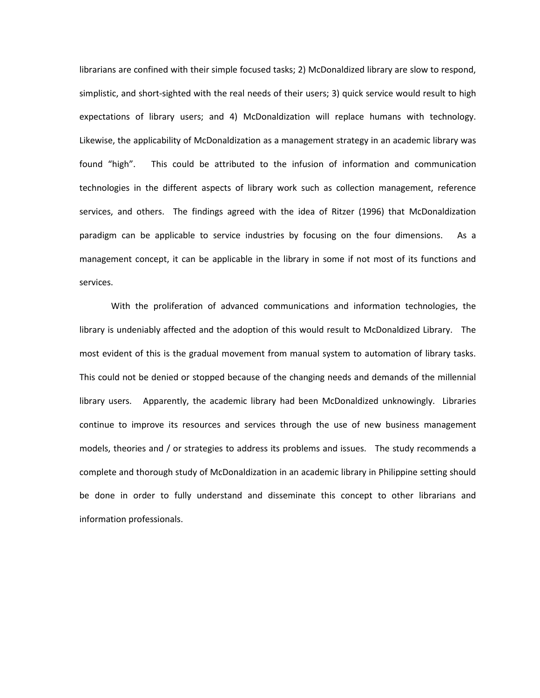librarians are confined with their simple focused tasks; 2) McDonaldized library are slow to respond, simplistic, and short-sighted with the real needs of their users; 3) quick service would result to high expectations of library users; and 4) McDonaldization will replace humans with technology. Likewise, the applicability of McDonaldization as a management strategy in an academic library was found "high". This could be attributed to the infusion of information and communication technologies in the different aspects of library work such as collection management, reference services, and others. The findings agreed with the idea of Ritzer (1996) that McDonaldization paradigm can be applicable to service industries by focusing on the four dimensions. As a management concept, it can be applicable in the library in some if not most of its functions and services.

With the proliferation of advanced communications and information technologies, the library is undeniably affected and the adoption of this would result to McDonaldized Library. The most evident of this is the gradual movement from manual system to automation of library tasks. This could not be denied or stopped because of the changing needs and demands of the millennial library users. Apparently, the academic library had been McDonaldized unknowingly. Libraries continue to improve its resources and services through the use of new business management models, theories and / or strategies to address its problems and issues. The study recommends a complete and thorough study of McDonaldization in an academic library in Philippine setting should be done in order to fully understand and disseminate this concept to other librarians and information professionals.